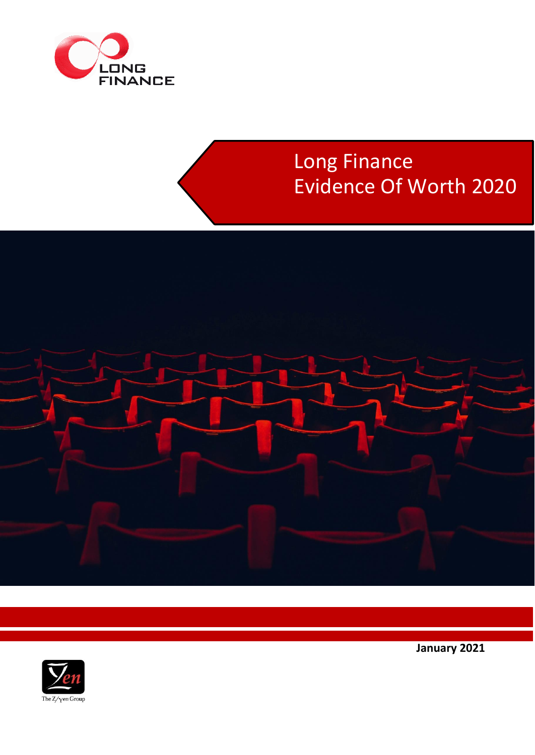

# Long Finance Evidence Of Worth 2020





**January 2021**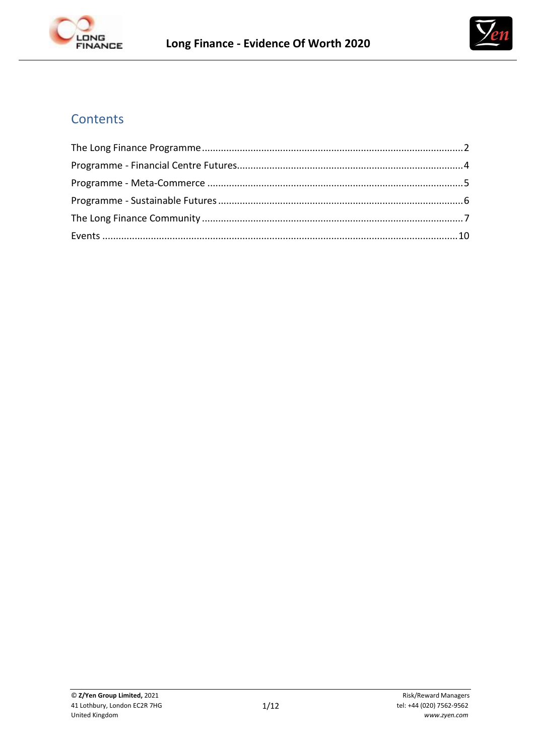



# **Contents**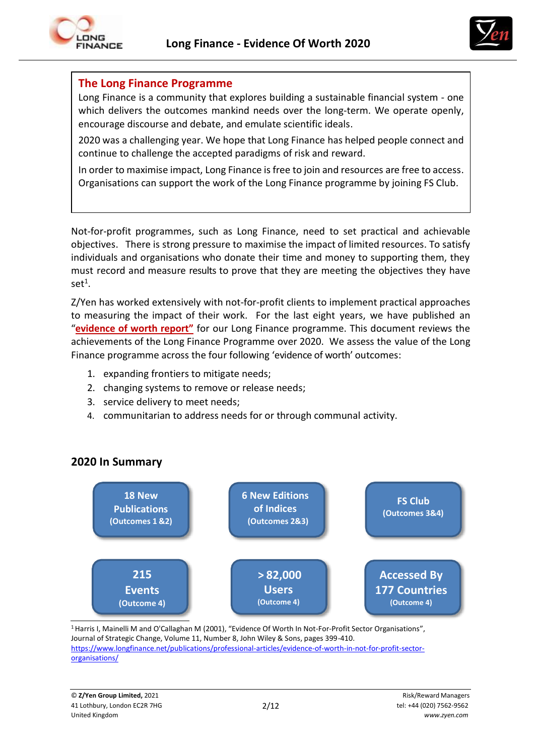



#### **The Long Finance Programme**

Long Finance is a community that explores building a sustainable financial system - one which delivers the outcomes mankind needs over the long-term. We operate openly, encourage discourse and debate, and emulate scientific ideals.

2020 was a challenging year. We hope that Long Finance has helped people connect and continue to challenge the accepted paradigms of risk and reward.

In order to maximise impact, Long Finance is free to join and resources are free to access. Organisations can support the work of the Long Finance programme by joining FS Club.

Not-for-profit programmes, such as Long Finance, need to set practical and achievable objectives. There is strong pressure to maximise the impact of limited resources. To satisfy individuals and organisations who donate their time and money to supporting them, they must record and measure results to prove that they are meeting the objectives they have  $set^1$ .

Z/Yen has worked extensively with not-for-profit clients to implement practical approaches to measuring the impact of their work. For the last eight years, we have published an "**[evidence](https://www.longfinance.net/about/evidence-worth/) of worth report"** for our Long Finance programme. This document reviews the achievements of the Long Finance Programme over 2020. We assess the value of the Long Finance programme across the four following 'evidence of worth' outcomes:

- 1. expanding frontiers to mitigate needs;
- 2. changing systems to remove or release needs;
- 3. service delivery to meet needs;
- 4. communitarian to address needs for or through communal activity.



# **2020 In Summary**

<sup>1</sup> Harris I, Mainelli M and O'Callaghan M (2001), "Evidence Of Worth In Not-For-Profit Sector Organisations", Journal of Strategic Change, Volume 11, Number 8, John Wiley & Sons, pages 399-410. [https://www.longfinance.net/publications/professional-articles/evidence-of-worth-in-not-for-profit-sector](https://www.longfinance.net/publications/professional-articles/evidence-of-worth-in-not-for-profit-sector-organisations/)[organisations/](https://www.longfinance.net/publications/professional-articles/evidence-of-worth-in-not-for-profit-sector-organisations/)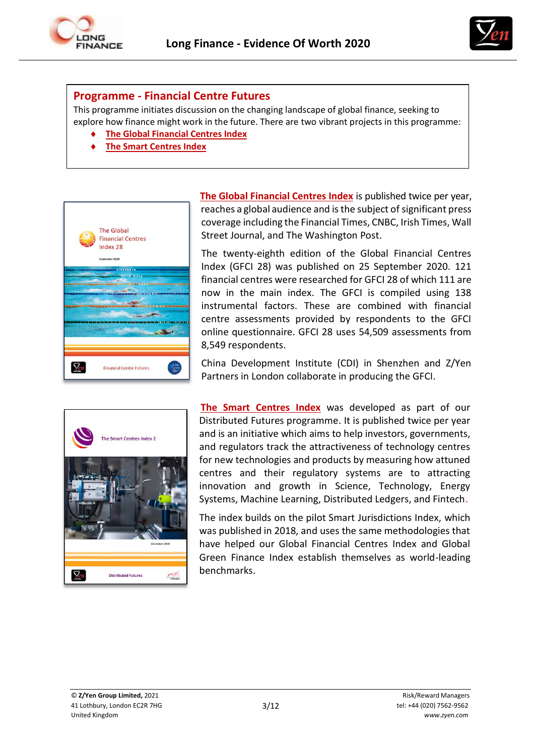



#### **Programme - Financial Centre Futures**

This programme initiates discussion on the changing landscape of global finance, seeking to explore how finance might work in the future. There are two vibrant projects in this programme:

- **[The Global Financial Centres Index](https://www.longfinance.net/programmes/financial-centre-futures/global-financial-centres-index/)**
- **[The Smart Centres Index](https://www.longfinance.net/programmes/financial-centre-futures/smart-centres-index/)**



**The Global [Financial](http://www.longfinance.net/programmes/financialcentrefutures/global-financial-centres-index/publications.html) Centres Index** is published twice per year, reaches a global audience and is the subject of significant press coverage including the Financial Times, CNBC, Irish Times, Wall Street Journal, and The Washington Post.

The twenty-eighth edition of the Global Financial Centres Index (GFCI 28) was published on 25 September 2020. 121 financial centres were researched for GFCI 28 of which 111 are now in the main index. The GFCI is compiled using 138 instrumental factors. These are combined with financial centre assessments provided by respondents to the GFCI online questionnaire. GFCI 28 uses 54,509 assessments from 8,549 respondents.

China Development Institute (CDI) in Shenzhen and Z/Yen Partners in London collaborate in producing the GFCI.



**[The Smart Centres Index](https://www.longfinance.net/programmes/financial-centre-futures/smart-centres-index/publications/)** was developed as part of our Distributed Futures programme. It is published twice per year and is an initiative which aims to help investors, governments, and regulators track the attractiveness of technology centres for new technologies and products by measuring how attuned centres and their regulatory systems are to attracting innovation and growth in Science, Technology, Energy Systems, Machine Learning, Distributed Ledgers, and Fintech.

The index builds on the pilot Smart Jurisdictions Index, which was published in 2018, and uses the same methodologies that have helped our Global Financial Centres Index and Global Green Finance Index establish themselves as world-leading benchmarks.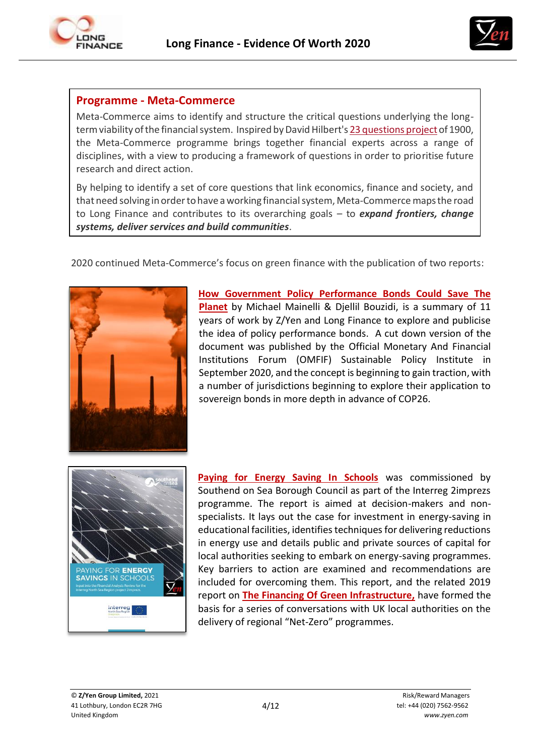



## **Programme - Meta-Commerce**

Meta-Commerce aims to identify and structure the critical questions underlying the longterm viability of the financial system. Inspired by David Hilbert's 23 [questions](http://en.wikipedia.org/wiki/Hilbert%27s_problems) project of 1900, the Meta-Commerce programme brings together financial experts across a range of disciplines, with a view to producing a framework of questions in order to prioritise future research and direct action.

By helping to identify a set of core questions that link economics, finance and society, and that need solving in order to have a working financial system, Meta-Commerce maps the road to Long Finance and contributes to its overarching goals – to *expand frontiers, change systems, deliver services and build communities*.

2020 continued Meta-Commerce's focus on green finance with the publication of two reports:



**[How Government Policy Performance Bonds Could Save The](https://www.longfinance.net/publications/professional-articles/how-government-policy-performance-bonds-could-save-planet/)  [Planet](https://www.longfinance.net/publications/professional-articles/how-government-policy-performance-bonds-could-save-planet/)** by Michael Mainelli & Djellil Bouzidi, is a summary of 11 years of work by Z/Yen and Long Finance to explore and publicise the idea of policy performance bonds. A cut down version of the document was published by the Official Monetary And Financial Institutions Forum (OMFIF) Sustainable Policy Institute in September 2020, and the concept is beginning to gain traction, with a number of jurisdictions beginning to explore their application to sovereign bonds in more depth in advance of COP26.



**[Paying for Energy Saving In Schools](https://www.longfinance.net/media/documents/Paying_for_Energy_Savings_in_Schools.pdf)** was commissioned by Southend on Sea Borough Council as part of the Interreg 2imprezs programme. The report is aimed at decision-makers and nonspecialists. It lays out the case for investment in energy-saving in educational facilities, identifies techniques for delivering reductions in energy use and details public and private sources of capital for local authorities seeking to embark on energy-saving programmes. Key barriers to action are examined and recommendations are included for overcoming them. This report, and the related 2019 report on **[The Financing Of Green Infrastructure,](https://www.longfinance.net/documents/2156/Nature_Smart_Cities_Business_Model_002.pdf)** have formed the basis for a series of conversations with UK local authorities on the delivery of regional "Net-Zero" programmes.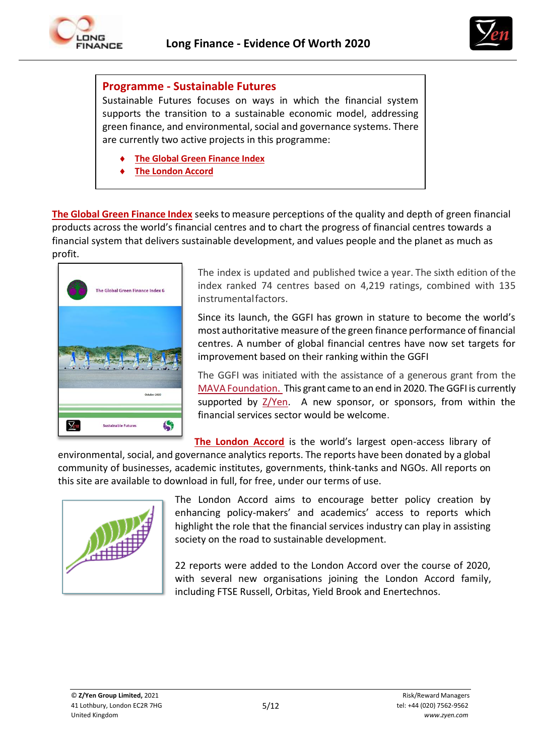



#### **Programme - Sustainable Futures**

Sustainable Futures focuses on ways in which the financial system supports the transition to a sustainable economic model, addressing green finance, and environmental, social and governance systems. There are currently two active projects in this programme:

- **[The Global Green Finance](https://www.longfinance.net/programmes/financial-centre-futures/global-green-finance-index/) Index**
- **[The London](https://www.longfinance.net/programmes/sustainable-futures/london-accord/) Accord**

**The Global Green [Finance](http://www.greenfinanceindex.net/) Index** seeksto measure perceptions of the quality and depth of green financial products across the world's financial centres and to chart the progress of financial centres towards a financial system that delivers sustainable development, and values people and the planet as much as profit.



The index is updated and published twice a year. The sixth edition of the index ranked 74 centres based on 4,219 ratings, combined with 135 instrumentalfactors.

Since its launch, the GGFI has grown in stature to become the world's most authoritative measure of the green finance performance of financial centres. A number of global financial centres have now set targets for improvement based on their ranking within the GGFI

The GGFI was initiated with the assistance of a generous grant from the MAVA [Foundation. T](http://mava-foundation.org/)his grant came to an end in 2020. The GGFI is currently supported by  $Z/Yen$ . A new sponsor, or sponsors, from within the financial services sector would be welcome.

**[The London Accord](https://www.longfinance.net/programmes/sustainable-futures/london-accord/)** is the world's largest open-access library of

environmental, social, and governance analytics reports. The reports have been donated by a global community of businesses, academic institutes, governments, think-tanks and NGOs. All reports on this site are available to download in full, for free, under our terms of use.



The London Accord aims to encourage better policy creation by enhancing policy-makers' and academics' access to reports which highlight the role that the financial services industry can play in assisting society on the road to sustainable development.

22 reports were added to the London Accord over the course of 2020, with several new organisations joining the London Accord family, including FTSE Russell, Orbitas, Yield Brook and Enertechnos.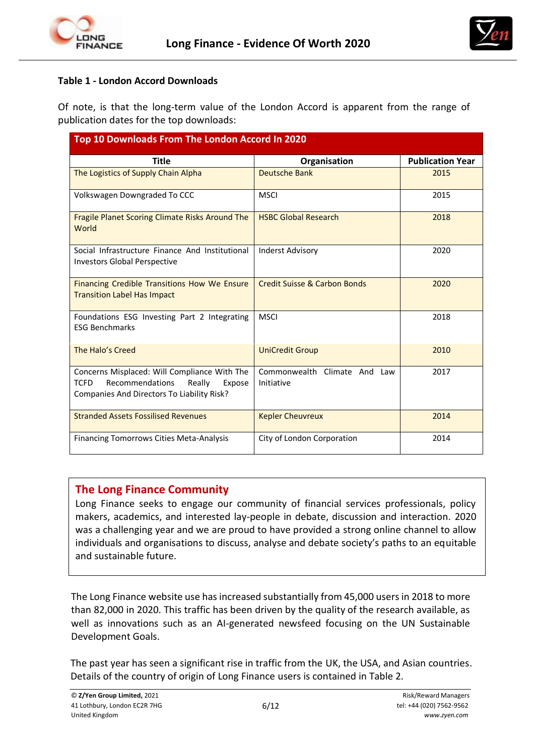



#### **Table 1 - London Accord Downloads**

Of note, is that the long-term value of the London Accord is apparent from the range of publication dates for the top downloads:

| Top 10 Downloads From The London Accord In 2020                                                                                                  |                                            |                         |  |
|--------------------------------------------------------------------------------------------------------------------------------------------------|--------------------------------------------|-------------------------|--|
| <b>Title</b>                                                                                                                                     | Organisation                               | <b>Publication Year</b> |  |
| The Logistics of Supply Chain Alpha                                                                                                              | Deutsche Bank                              | 2015                    |  |
| Volkswagen Downgraded To CCC                                                                                                                     | <b>MSCI</b>                                | 2015                    |  |
| <b>Fragile Planet Scoring Climate Risks Around The</b><br>World                                                                                  | <b>HSBC Global Research</b>                | 2018                    |  |
| Social Infrastructure Finance And Institutional<br><b>Investors Global Perspective</b>                                                           | <b>Inderst Advisory</b>                    | 2020                    |  |
| Financing Credible Transitions How We Ensure<br><b>Transition Label Has Impact</b>                                                               | <b>Credit Suisse &amp; Carbon Bonds</b>    | 2020                    |  |
| Foundations ESG Investing Part 2 Integrating<br><b>ESG Benchmarks</b>                                                                            | <b>MSCI</b>                                | 2018                    |  |
| The Halo's Creed                                                                                                                                 | <b>UniCredit Group</b>                     | 2010                    |  |
| Concerns Misplaced: Will Compliance With The<br><b>TCFD</b><br>Recommendations<br>Really<br>Expose<br>Companies And Directors To Liability Risk? | Commonwealth Climate And Law<br>Initiative | 2017                    |  |
| <b>Stranded Assets Fossilised Revenues</b>                                                                                                       | <b>Kepler Cheuvreux</b>                    | 2014                    |  |
| <b>Financing Tomorrows Cities Meta-Analysis</b>                                                                                                  | City of London Corporation                 | 2014                    |  |

#### **The Long Finance Community**

Long Finance seeks to engage our community of financial services professionals, policy makers, academics, and interested lay-people in debate, discussion and interaction. 2020 was a challenging year and we are proud to have provided a strong online channel to allow individuals and organisations to discuss, analyse and debate society's paths to an equitable and sustainable future.

The Long Finance website use has increased substantially from 45,000 users in 2018 to more than 82,000 in 2020. This traffic has been driven by the quality of the research available, as well as innovations such as an AI-generated newsfeed focusing on the UN Sustainable Development Goals.

The past year has seen a significant rise in traffic from the UK, the USA, and Asian countries. Details of the country of origin of Long Finance users is contained in Table 2.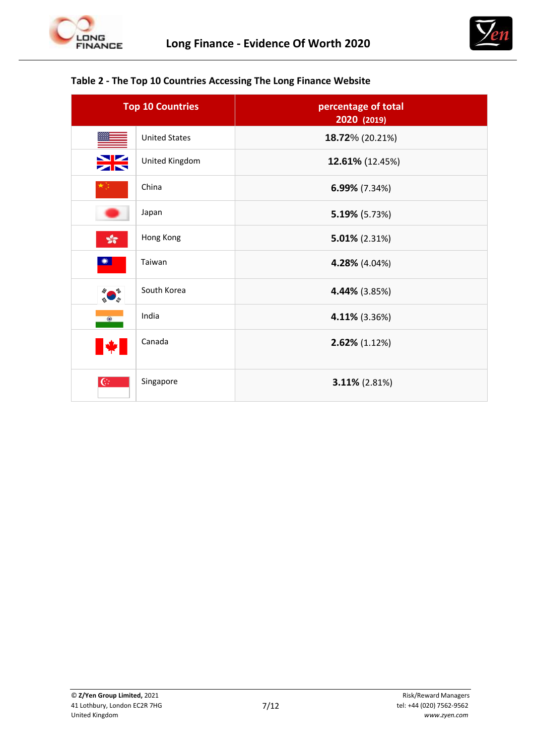



#### **Table 2 - The Top 10 Countries Accessing The Long Finance Website**

| <b>Top 10 Countries</b>     |                      | percentage of total<br>2020 (2019) |
|-----------------------------|----------------------|------------------------------------|
|                             | <b>United States</b> | 18.72% (20.21%)                    |
|                             | United Kingdom       | 12.61% (12.45%)                    |
|                             | China                | 6.99% (7.34%)                      |
|                             | Japan                | 5.19% (5.73%)                      |
| $\sqrt{3}$                  | Hong Kong            | $5.01\%$ (2.31%)                   |
|                             | Taiwan               | 4.28% (4.04%)                      |
| $\mathcal{L}_{\mathcal{U}}$ | South Korea          | 4.44% (3.85%)                      |
| $\circledast$               | India                | 4.11% (3.36%)                      |
|                             | Canada               | 2.62% (1.12%)                      |
| $\overline{\mathbb{G}}$     | Singapore            | 3.11% (2.81%)                      |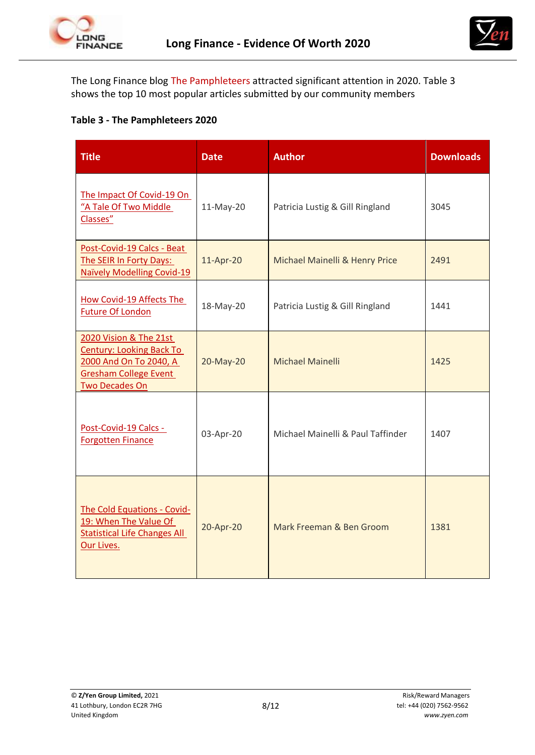



The Long Finance blog [The Pamphleteers a](http://www.longfinance.net/news/long-finance-blogs/the-pamphleteers.html?start=20)ttracted significant attention in 2020. Table 3 shows the top 10 most popular articles submitted by our community members

#### **Table 3 - The Pamphleteers 2020**

| <b>Title</b>                                                                                                                                 | <b>Date</b> | <b>Author</b>                     | <b>Downloads</b> |
|----------------------------------------------------------------------------------------------------------------------------------------------|-------------|-----------------------------------|------------------|
| The Impact Of Covid-19 On<br>"A Tale Of Two Middle<br>Classes"                                                                               | 11-May-20   | Patricia Lustig & Gill Ringland   | 3045             |
| Post-Covid-19 Calcs - Beat<br>The SEIR In Forty Days:<br><b>Naïvely Modelling Covid-19</b>                                                   | 11-Apr-20   | Michael Mainelli & Henry Price    | 2491             |
| How Covid-19 Affects The<br><b>Future Of London</b>                                                                                          | 18-May-20   | Patricia Lustig & Gill Ringland   | 1441             |
| 2020 Vision & The 21st<br><b>Century: Looking Back To</b><br>2000 And On To 2040, A<br><b>Gresham College Event</b><br><b>Two Decades On</b> | 20-May-20   | <b>Michael Mainelli</b>           | 1425             |
| Post-Covid-19 Calcs -<br><b>Forgotten Finance</b>                                                                                            | 03-Apr-20   | Michael Mainelli & Paul Taffinder | 1407             |
| The Cold Equations - Covid-<br>19: When The Value Of<br><b>Statistical Life Changes All</b><br>Our Lives.                                    | 20-Apr-20   | Mark Freeman & Ben Groom          | 1381             |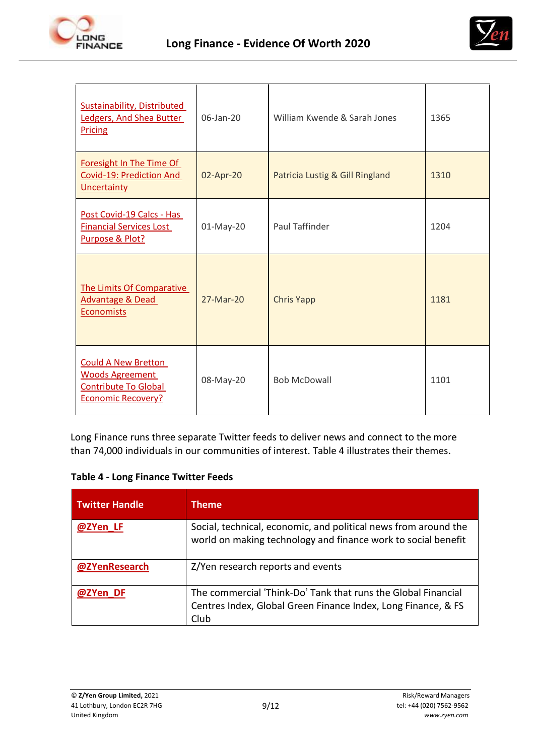



| <b>Sustainability, Distributed</b><br>Ledgers, And Shea Butter<br><b>Pricing</b>                                 | 06-Jan-20                                    | William Kwende & Sarah Jones | 1365 |
|------------------------------------------------------------------------------------------------------------------|----------------------------------------------|------------------------------|------|
| Foresight In The Time Of<br>Covid-19: Prediction And<br><b>Uncertainty</b>                                       | 02-Apr-20<br>Patricia Lustig & Gill Ringland |                              | 1310 |
| Post Covid-19 Calcs - Has<br><b>Financial Services Lost</b><br>Purpose & Plot?                                   | Paul Taffinder<br>01-May-20                  |                              | 1204 |
| The Limits Of Comparative<br>Advantage & Dead<br><b>Economists</b>                                               | 27-Mar-20                                    | <b>Chris Yapp</b>            | 1181 |
| <b>Could A New Bretton</b><br><b>Woods Agreement</b><br><b>Contribute To Global</b><br><b>Economic Recovery?</b> | 08-May-20                                    | <b>Bob McDowall</b>          | 1101 |

Long Finance runs three separate Twitter feeds to deliver news and connect to the more than 74,000 individuals in our communities of interest. Table 4 illustrates their themes.

| <b>Twitter Handle</b> | <b>Theme</b>                                                                                                                           |
|-----------------------|----------------------------------------------------------------------------------------------------------------------------------------|
| @ZYen LF              | Social, technical, economic, and political news from around the<br>world on making technology and finance work to social benefit       |
| @ZYenResearch         | Z/Yen research reports and events                                                                                                      |
| @ZYen DF              | The commercial 'Think-Do' Tank that runs the Global Financial<br>Centres Index, Global Green Finance Index, Long Finance, & FS<br>Club |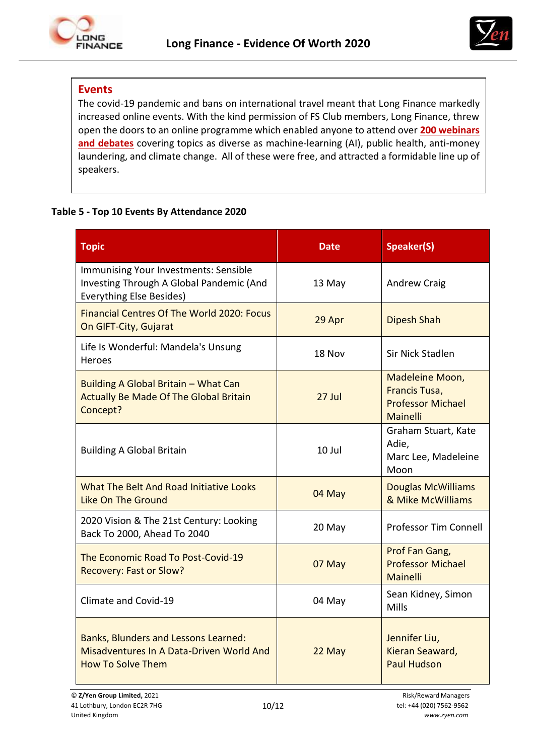



# **Events**

The covid-19 pandemic and bans on international travel meant that Long Finance markedly increased online events. With the kind permission of FS Club members, Long Finance, threw open the doors to an online programme which enabled anyone to attend over **200 [webinars](https://fsclub.zyen.com/events/)  [and debates](https://fsclub.zyen.com/events/)** covering topics as diverse as machine-learning (AI), public health, anti-money laundering, and climate change. All of these were free, and attracted a formidable line up of speakers.

#### **Table 5 - Top 10 Events By Attendance 2020**

| <b>Topic</b>                                                                                                         | Date     | Speaker(S)                                                                      |
|----------------------------------------------------------------------------------------------------------------------|----------|---------------------------------------------------------------------------------|
| Immunising Your Investments: Sensible<br>Investing Through A Global Pandemic (And<br><b>Everything Else Besides)</b> | 13 May   | <b>Andrew Craig</b>                                                             |
| Financial Centres Of The World 2020: Focus<br>On GIFT-City, Gujarat                                                  | 29 Apr   | <b>Dipesh Shah</b>                                                              |
| Life Is Wonderful: Mandela's Unsung<br>Heroes                                                                        | 18 Nov   | Sir Nick Stadlen                                                                |
| Building A Global Britain - What Can<br><b>Actually Be Made Of The Global Britain</b><br>Concept?                    | $27$ Jul | Madeleine Moon,<br><b>Francis Tusa,</b><br><b>Professor Michael</b><br>Mainelli |
| <b>Building A Global Britain</b>                                                                                     | 10 Jul   | Graham Stuart, Kate<br>Adie,<br>Marc Lee, Madeleine<br>Moon                     |
| What The Belt And Road Initiative Looks<br><b>Like On The Ground</b>                                                 | 04 May   | <b>Douglas McWilliams</b><br>& Mike McWilliams                                  |
| 2020 Vision & The 21st Century: Looking<br>Back To 2000, Ahead To 2040                                               | 20 May   | <b>Professor Tim Connell</b>                                                    |
| The Economic Road To Post-Covid-19<br><b>Recovery: Fast or Slow?</b>                                                 | 07 May   | Prof Fan Gang,<br><b>Professor Michael</b><br>Mainelli                          |
| Climate and Covid-19                                                                                                 | 04 May   | Sean Kidney, Simon<br>Mills                                                     |
| Banks, Blunders and Lessons Learned:<br>Misadventures In A Data-Driven World And<br><b>How To Solve Them</b>         | 22 May   | Jennifer Liu,<br>Kieran Seaward,<br><b>Paul Hudson</b>                          |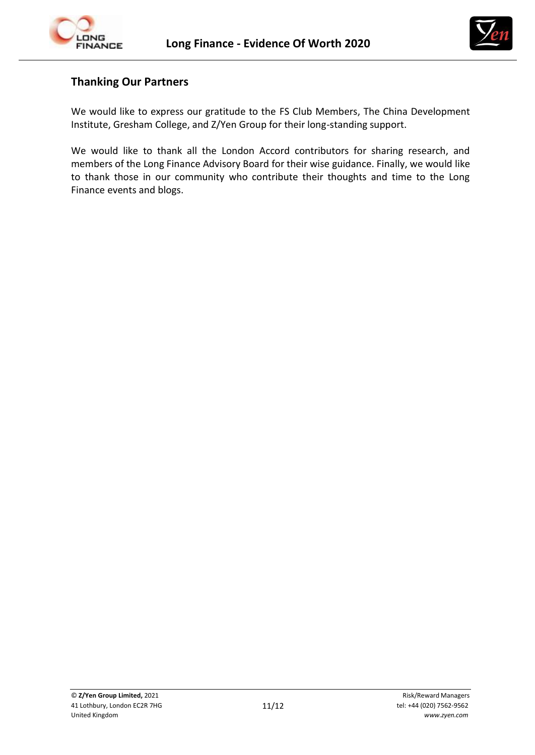



# **Thanking Our Partners**

We would like to express our gratitude to the FS Club Members, The China Development Institute, Gresham College, and Z/Yen Group for their long-standing support.

We would like to thank all the London Accord contributors for sharing research, and members of the Long Finance Advisory Board for their wise guidance. Finally, we would like to thank those in our community who contribute their thoughts and time to the Long Finance events and blogs.